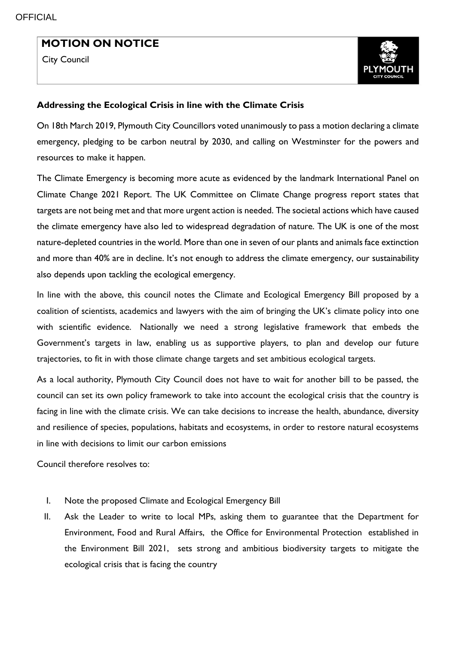I

## **MOTION ON NOTICE**

City Council



## **Addressing the Ecological Crisis in line with the Climate Crisis**

On 18th March 2019, Plymouth City Councillors voted unanimously to pass a motion declaring a climate emergency, pledging to be carbon neutral by 2030, and calling on Westminster for the powers and resources to make it happen.

The Climate Emergency is becoming more acute as evidenced by the landmark International Panel on Climate Change 2021 Report. The UK Committee on Climate Change progress report states that targets are not being met and that more urgent action is needed. The societal actions which have caused the climate emergency have also led to widespread degradation of nature. The UK is one of the most nature-depleted countries in the world. More than one in seven of our plants and animals face extinction and more than 40% are in decline. It's not enough to address the climate emergency, our sustainability also depends upon tackling the ecological emergency.

In line with the above, this council notes the Climate and Ecological Emergency Bill proposed by a coalition of scientists, academics and lawyers with the aim of bringing the UK's climate policy into one with scientific evidence. Nationally we need a strong legislative framework that embeds the Government's targets in law, enabling us as supportive players, to plan and develop our future trajectories, to fit in with those climate change targets and set ambitious ecological targets.

As a local authority, Plymouth City Council does not have to wait for another bill to be passed, the council can set its own policy framework to take into account the ecological crisis that the country is facing in line with the climate crisis. We can take decisions to increase the health, abundance, diversity and resilience of species, populations, habitats and ecosystems, in order to restore natural ecosystems in line with decisions to limit our carbon emissions

Council therefore resolves to:

- I. Note the proposed Climate and Ecological Emergency Bill
- II. Ask the Leader to write to local MPs, asking them to guarantee that the Department for Environment, Food and Rural Affairs, the Office for Environmental Protection established in the Environment Bill 2021, sets strong and ambitious biodiversity targets to mitigate the ecological crisis that is facing the country